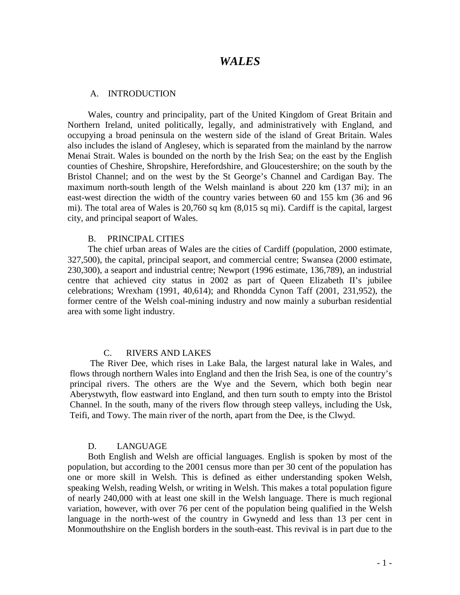# *WALES*

#### A. INTRODUCTION

Wales, country and principality, part of the United Kingdom of Great Britain and Northern Ireland, united politically, legally, and administratively with England, and occupying a broad peninsula on the western side of the island of Great Britain. Wales also includes the island of Anglesey, which is separated from the mainland by the narrow Menai Strait. Wales is bounded on the north by the Irish Sea; on the east by the English counties of Cheshire, Shropshire, Herefordshire, and Gloucestershire; on the south by the Bristol Channel; and on the west by the St George's Channel and Cardigan Bay. The maximum north-south length of the Welsh mainland is about 220 km (137 mi); in an east-west direction the width of the country varies between 60 and 155 km (36 and 96 mi). The total area of Wales is 20,760 sq km (8,015 sq mi). Cardiff is the capital, largest city, and principal seaport of Wales.

#### B. PRINCIPAL CITIES

The chief urban areas of Wales are the cities of Cardiff (population, 2000 estimate, 327,500), the capital, principal seaport, and commercial centre; Swansea (2000 estimate, 230,300), a seaport and industrial centre; Newport (1996 estimate, 136,789), an industrial centre that achieved city status in 2002 as part of Queen Elizabeth II's jubilee celebrations; Wrexham (1991, 40,614); and Rhondda Cynon Taff (2001, 231,952), the former centre of the Welsh coal-mining industry and now mainly a suburban residential area with some light industry.

## C. RIVERS AND LAKES

The River Dee, which rises in Lake Bala, the largest natural lake in Wales, and flows through northern Wales into England and then the Irish Sea, is one of the country's principal rivers. The others are the Wye and the Severn, which both begin near Aberystwyth, flow eastward into England, and then turn south to empty into the Bristol Channel. In the south, many of the rivers flow through steep valleys, including the Usk, Teifi, and Towy. The main river of the north, apart from the Dee, is the Clwyd.

#### D. LANGUAGE

Both English and Welsh are official languages. English is spoken by most of the population, but according to the 2001 census more than per 30 cent of the population has one or more skill in Welsh. This is defined as either understanding spoken Welsh, speaking Welsh, reading Welsh, or writing in Welsh. This makes a total population figure of nearly 240,000 with at least one skill in the Welsh language. There is much regional variation, however, with over 76 per cent of the population being qualified in the Welsh language in the north-west of the country in Gwynedd and less than 13 per cent in Monmouthshire on the English borders in the south-east. This revival is in part due to the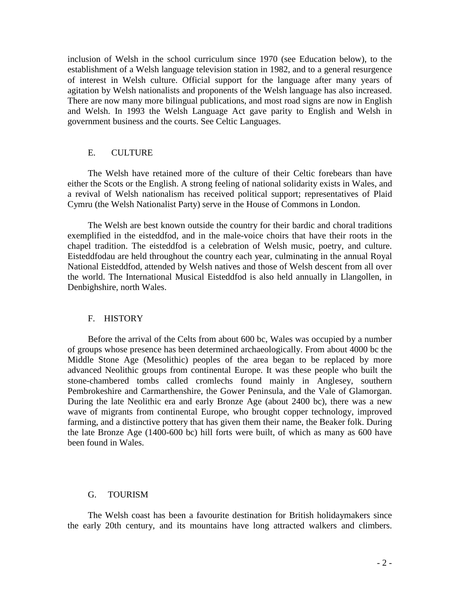inclusion of Welsh in the school curriculum since 1970 (see Education below), to the establishment of a Welsh language television station in 1982, and to a general resurgence of interest in Welsh culture. Official support for the language after many years of agitation by Welsh nationalists and proponents of the Welsh language has also increased. There are now many more bilingual publications, and most road signs are now in English and Welsh. In 1993 the Welsh Language Act gave parity to English and Welsh in government business and the courts. See Celtic Languages.

### E. CULTURE

The Welsh have retained more of the culture of their Celtic forebears than have either the Scots or the English. A strong feeling of national solidarity exists in Wales, and a revival of Welsh nationalism has received political support; representatives of Plaid Cymru (the Welsh Nationalist Party) serve in the House of Commons in London.

The Welsh are best known outside the country for their bardic and choral traditions exemplified in the eisteddfod, and in the male-voice choirs that have their roots in the chapel tradition. The eisteddfod is a celebration of Welsh music, poetry, and culture. Eisteddfodau are held throughout the country each year, culminating in the annual Royal National Eisteddfod, attended by Welsh natives and those of Welsh descent from all over the world. The International Musical Eisteddfod is also held annually in Llangollen, in Denbighshire, north Wales.

## F. HISTORY

Before the arrival of the Celts from about 600 bc, Wales was occupied by a number of groups whose presence has been determined archaeologically. From about 4000 bc the Middle Stone Age (Mesolithic) peoples of the area began to be replaced by more advanced Neolithic groups from continental Europe. It was these people who built the stone-chambered tombs called cromlechs found mainly in Anglesey, southern Pembrokeshire and Carmarthenshire, the Gower Peninsula, and the Vale of Glamorgan. During the late Neolithic era and early Bronze Age (about 2400 bc), there was a new wave of migrants from continental Europe, who brought copper technology, improved farming, and a distinctive pottery that has given them their name, the Beaker folk. During the late Bronze Age (1400-600 bc) hill forts were built, of which as many as 600 have been found in Wales.

#### G. TOURISM

The Welsh coast has been a favourite destination for British holidaymakers since the early 20th century, and its mountains have long attracted walkers and climbers.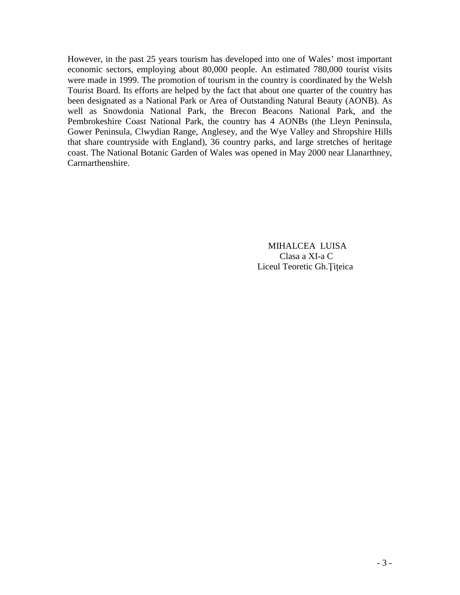However, in the past 25 years tourism has developed into one of Wales' most important economic sectors, employing about 80,000 people. An estimated 780,000 tourist visits were made in 1999. The promotion of tourism in the country is coordinated by the Welsh Tourist Board. Its efforts are helped by the fact that about one quarter of the country has been designated as a National Park or Area of Outstanding Natural Beauty (AONB). As well as Snowdonia National Park, the Brecon Beacons National Park, and the Pembrokeshire Coast National Park, the country has 4 AONBs (the Lleyn Peninsula, Gower Peninsula, Clwydian Range, Anglesey, and the Wye Valley and Shropshire Hills that share countryside with England), 36 country parks, and large stretches of heritage coast. The National Botanic Garden of Wales was opened in May 2000 near Llanarthney, Carmarthenshire.

> **MIHALCEA LUISA** Clasa a XI-a C Liceul Teoretic Gh. Titeica